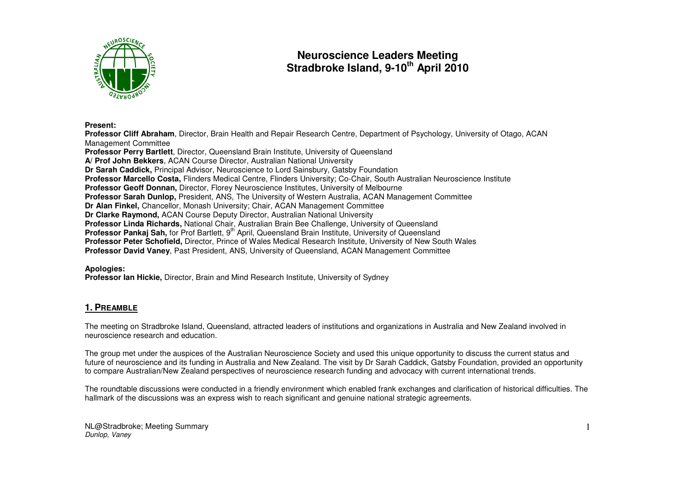

# **Neuroscience Leaders Meeting Stradbroke Island, 9-10th April 2010**

#### **Present:**

 **Professor Cliff Abraham**, Director, Brain Health and Repair Research Centre, Department of Psychology, University of Otago, ACAN Management Committee **Professor Perry Bartlett**, Director, Queensland Brain Institute, University of Queensland **A/ Prof John Bekkers**, ACAN Course Director, Australian National University **Dr Sarah Caddick,** Principal Advisor, Neuroscience to Lord Sainsbury, Gatsby Foundation **Professor Marcello Costa,** Flinders Medical Centre, Flinders University; Co-Chair, South Australian Neuroscience Institute **Professor Geoff Donnan,** Director, Florey Neuroscience Institutes, University of Melbourne **Professor Sarah Dunlop,** President, ANS, The University of Western Australia, ACAN Management Committee **Dr Alan Finkel,** Chancellor, Monash University; Chair, ACAN Management Committee **Dr Clarke Raymond,** ACAN Course Deputy Director, Australian National University **Professor Linda Richards,** National Chair, Australian Brain Bee Challenge, University of Queensland Professor Pankaj Sah, for Prof Bartlett, 9<sup>th</sup> April, Queensland Brain Institute, University of Queensland **Professor Peter Schofield,** Director, Prince of Wales Medical Research Institute, University of New South Wales **Professor David Vaney**, Past President, ANS, University of Queensland, ACAN Management Committee

## **Apologies:**

**Professor Ian Hickie,** Director, Brain and Mind Research Institute, University of Sydney

# **1. PREAMBLE**

The meeting on Stradbroke Island, Queensland, attracted leaders of institutions and organizations in Australia and New Zealand involved in neuroscience research and education.

The group met under the auspices of the Australian Neuroscience Society and used this unique opportunity to discuss the current status and future of neuroscience and its funding in Australia and New Zealand. The visit by Dr Sarah Caddick, Gatsby Foundation, provided an opportunity to compare Australian/New Zealand perspectives of neuroscience research funding and advocacy with current international trends.

The roundtable discussions were conducted in a friendly environment which enabled frank exchanges and clarification of historical difficulties. The hallmark of the discussions was an express wish to reach significant and genuine national strategic agreements.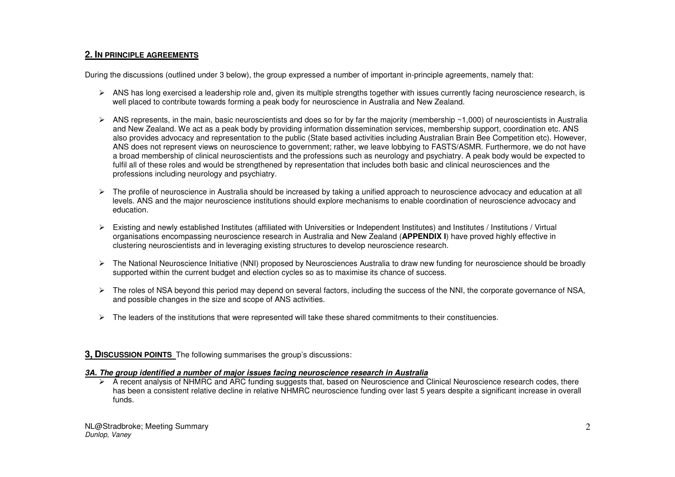# **2. IN PRINCIPLE AGREEMENTS**

During the discussions (outlined under 3 below), the group expressed a number of important in-principle agreements, namely that:

- $\triangleright$  ANS has long exercised a leadership role and, given its multiple strengths together with issues currently facing neuroscience research, is well placed to contribute towards forming a peak body for neuroscience in Australia and New Zealand.
- $\triangleright$  ANS represents, in the main, basic neuroscientists and does so for by far the majority (membership ~1,000) of neuroscientists in Australia and New Zealand. We act as a peak body by providing information dissemination services, membership support, coordination etc. ANS also provides advocacy and representation to the public (State based activities including Australian Brain Bee Competition etc). However, ANS does not represent views on neuroscience to government; rather, we leave lobbying to FASTS/ASMR. Furthermore, we do not have a broad membership of clinical neuroscientists and the professions such as neurology and psychiatry. A peak body would be expected to fulfil all of these roles and would be strengthened by representation that includes both basic and clinical neurosciences and the professions including neurology and psychiatry.
- $\triangleright$  The profile of neuroscience in Australia should be increased by taking a unified approach to neuroscience advocacy and education at all levels. ANS and the major neuroscience institutions should explore mechanisms to enable coordination of neuroscience advocacy and education.
- Existing and newly established Institutes (affiliated with Universities or Independent Institutes) and Institutes / Institutions / Virtual organisations encompassing neuroscience research in Australia and New Zealand (**APPENDIX I**) have proved highly effective in clustering neuroscientists and in leveraging existing structures to develop neuroscience research.
- The National Neuroscience Initiative (NNI) proposed by Neurosciences Australia to draw new funding for neuroscience should be broadly supported within the current budget and election cycles so as to maximise its chance of success.
- The roles of NSA beyond this period may depend on several factors, including the success of the NNI, the corporate governance of NSA, and possible changes in the size and scope of ANS activities.
- $\triangleright$  The leaders of the institutions that were represented will take these shared commitments to their constituencies.
- **3, DISCUSSION POINTS** The following summarises the group's discussions:

## **3A. The group identified a number of major issues facing neuroscience research in Australia**

 A recent analysis of NHMRC and ARC funding suggests that, based on Neuroscience and Clinical Neuroscience research codes, there has been a consistent relative decline in relative NHMRC neuroscience funding over last 5 years despite a significant increase in overall funds.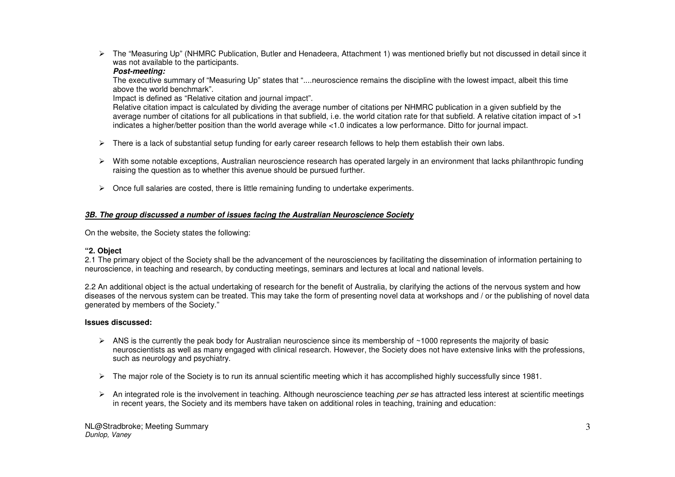The "Measuring Up" (NHMRC Publication, Butler and Henadeera, Attachment 1) was mentioned briefly but not discussed in detail since it was not available to the participants.

## **Post-meeting:**

 The executive summary of "Measuring Up" states that "....neuroscience remains the discipline with the lowest impact, albeit this time above the world benchmark".

Impact is defined as "Relative citation and journal impact".

 Relative citation impact is calculated by dividing the average number of citations per NHMRC publication in a given subfield by the average number of citations for all publications in that subfield, i.e. the world citation rate for that subfield. A relative citation impact of >1 indicates a higher/better position than the world average while <1.0 indicates a low performance. Ditto for journal impact.

- $\triangleright$  There is a lack of substantial setup funding for early career research fellows to help them establish their own labs.
- $\triangleright$  With some notable exceptions, Australian neuroscience research has operated largely in an environment that lacks philanthropic funding raising the question as to whether this avenue should be pursued further.
- $\triangleright$  Once full salaries are costed, there is little remaining funding to undertake experiments.

# **3B. The group discussed a number of issues facing the Australian Neuroscience Society**

On the website, the Society states the following:

# **"2. Object**

 2.1 The primary object of the Society shall be the advancement of the neurosciences by facilitating the dissemination of information pertaining to neuroscience, in teaching and research, by conducting meetings, seminars and lectures at local and national levels.

2.2 An additional object is the actual undertaking of research for the benefit of Australia, by clarifying the actions of the nervous system and how diseases of the nervous system can be treated. This may take the form of presenting novel data at workshops and / or the publishing of novel data generated by members of the Society."

# **Issues discussed:**

- $\triangleright$  ANS is the currently the peak body for Australian neuroscience since its membership of ~1000 represents the majority of basic neuroscientists as well as many engaged with clinical research. However, the Society does not have extensive links with the professions, such as neurology and psychiatry.
- The major role of the Society is to run its annual scientific meeting which it has accomplished highly successfully since 1981.
- $\triangleright$  An integrated role is the involvement in teaching. Although neuroscience teaching per se has attracted less interest at scientific meetings in recent years, the Society and its members have taken on additional roles in teaching, training and education: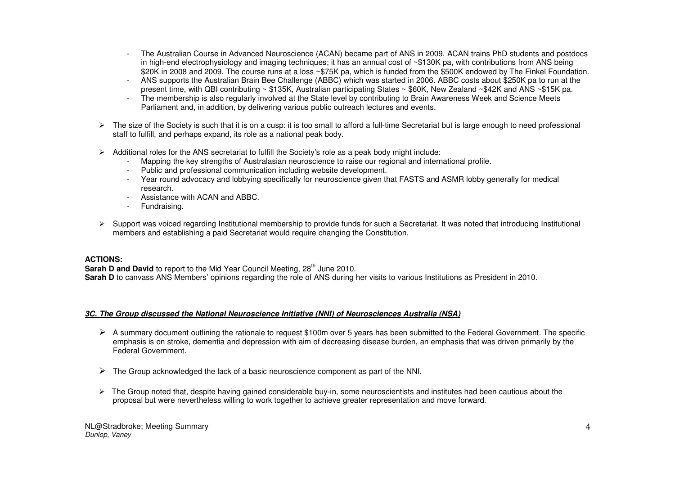- The Australian Course in Advanced Neuroscience (ACAN) became part of ANS in 2009. ACAN trains PhD students and postdocs in high-end electrophysiology and imaging techniques; it has an annual cost of ~\$130K pa, with contributions from ANS being \$20K in 2008 and 2009. The course runs at a loss ~\$75K pa, which is funded from the \$500K endowed by The Finkel Foundation.
- ANS supports the Australian Brain Bee Challenge (ABBC) which was started in 2006. ABBC costs about \$250K pa to run at the present time, with QBI contributing ~ \$135K, Australian participating States ~ \$60K, New Zealand ~\$42K and ANS ~\$15K pa.
- The membership is also regularly involved at the State level by contributing to Brain Awareness Week and Science Meets Parliament and, in addition, by delivering various public outreach lectures and events.
- $\triangleright$  The size of the Society is such that it is on a cusp: it is too small to afford a full-time Secretariat but is large enough to need professional staff to fulfill, and perhaps expand, its role as a national peak body.
- Additional roles for the ANS secretariat to fulfill the Society's role as a peak body might include:
	- Mapping the key strengths of Australasian neuroscience to raise our regional and international profile.
	- Public and professional communication including website development.
	- Year round advocacy and lobbying specifically for neuroscience given that FASTS and ASMR lobby generally for medical research.
	- Assistance with ACAN and ABBC.
	- Fundraising.
- Support was voiced regarding Institutional membership to provide funds for such a Secretariat. It was noted that introducing Institutional members and establishing a paid Secretariat would require changing the Constitution.

## **ACTIONS:**

**Sarah D and David** to report to the Mid Year Council Meeting, 28<sup>th</sup> June 2010.

**Sarah D** to canvass ANS Members' opinions regarding the role of ANS during her visits to various Institutions as President in 2010.

## **3C. The Group discussed the National Neuroscience Initiative (NNI) of Neurosciences Australia (NSA)**

- A summary document outlining the rationale to request \$100m over 5 years has been submitted to the Federal Government. The specific emphasis is on stroke dementia and depression with aim of decreasing disease burden, an e emphasis is on stroke, dementia and depression with aim of decreasing disease burden, an emphasis that was driven primarily by the Federal Government.
- $\triangleright$  The Group acknowledged the lack of a basic neuroscience component as part of the NNI.
- $\triangleright$  The Group noted that, despite having gained considerable buy-in, some neuroscientists and institutes had been cautious about the proposed but were nevertheless willing to werk together to pobiove greater representa proposal but were nevertheless willing to work together to achieve greater representation and move forward.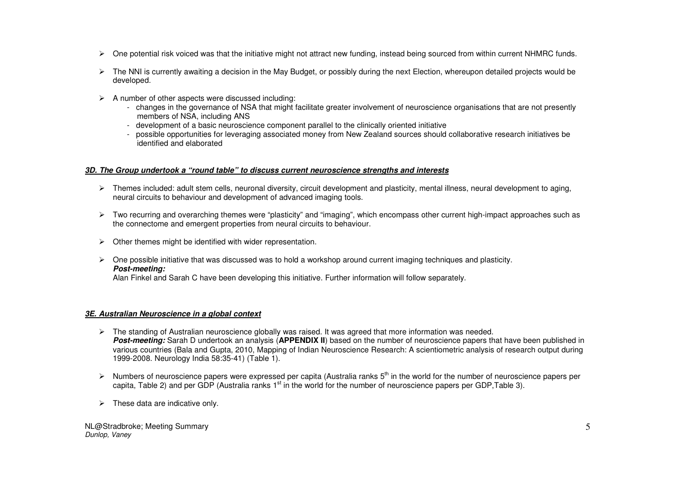- $\triangleright$  One potential risk voiced was that the initiative might not attract new funding, instead being sourced from within current NHMRC funds.
- $\triangleright$  The NNI is currently awaiting a decision in the May Budget, or possibly during the next Election, whereupon detailed projects would be developed.
- $\triangleright$  A number of other aspects were discussed including:
	- changes in the governance of NSA that might facilitate greater involvement of neuroscience organisations that are not presently members of NSA, including ANS
	- development of a basic neuroscience component parallel to the clinically oriented initiative
	- possible opportunities for leveraging associated money from New Zealand sources should collaborative research initiatives be identified and elaborated

## **3D. The Group undertook a "round table" to discuss current neuroscience strengths and interests**

- Themes included: adult stem cells, neuronal diversity, circuit development and plasticity, mental illness, neural development to aging, neural circuits to behaviour and development of advanced imaging tools.
- Two recurring and overarching themes were "plasticity" and "imaging", which encompass other current high-impact approaches such as the connectome and emergent properties from neural circuits to behaviour.
- $\triangleright$  Other themes might be identified with wider representation.
- $\triangleright$  One possible initiative that was discussed was to hold a workshop around current imaging techniques and plasticity. **Post-meeting:**

Alan Finkel and Sarah C have been developing this initiative. Further information will follow separately.

## **3E. Australian Neuroscience in a global context**

- $\triangleright$  The standing of Australian neuroscience globally was raised. It was agreed that more information was needed. **Post-meeting:** Sarah D undertook an analysis (**APPENDIX II**) based on the number of neuroscience papers that have been published in various countries (Bala and Gupta, 2010, Mapping of Indian Neuroscience Research: A scientiometric analysis of research output during 1999-2008. Neurology India 58:35-41) (Table 1).
- $\triangleright$  Numbers of neuroscience papers were expressed per capita (Australia ranks  $5<sup>th</sup>$  in the world for the number of neuroscience papers per capita, Table 2) and per GDP (Australia ranks  $1<sup>st</sup>$  in the world for the number of neuroscience papers per GDP, Table 3).
- $\triangleright$  These data are indicative only.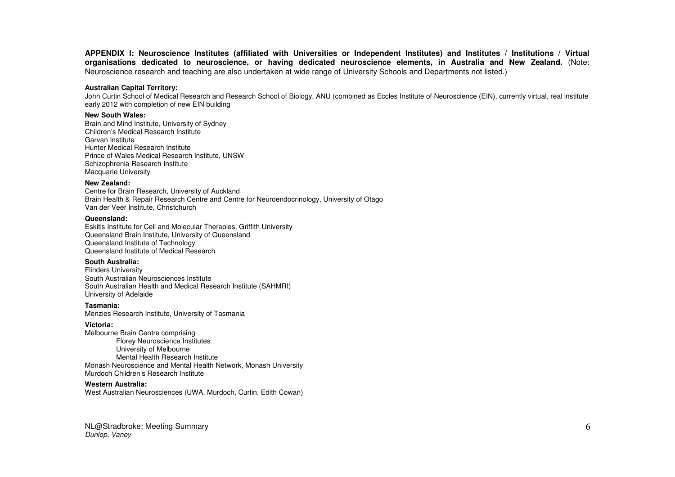**APPENDIX I: Neuroscience Institutes (affiliated with Universities or Independent Institutes) and Institutes / Institutions / Virtual organisations dedicated to neuroscience, or having dedicated neuroscience elements, in Australia and New Zealand.** (Note: Neuroscience research and teaching are also undertaken at wide range of University Schools and Departments not listed.)

#### **Australian Capital Territory:**

John Curtin School of Medical Research and Research School of Biology, ANU (combined as Eccles Institute of Neuroscience (EIN), currently virtual, real institute early 2012 with completion of new EIN building

#### **New South Wales:**

 Brain and Mind Institute, University of Sydney Children's Medical Research Institute Garvan Institute Hunter Medical Research Institute Prince of Wales Medical Research Institute, UNSW Schizophrenia Research Institute Macquarie University

#### **New Zealand:**

 Centre for Brain Research, University of Auckland Brain Health & Repair Research Centre and Centre for Neuroendocrinology, University of Otago Van der Veer Institute, Christchurch

#### **Queensland:**

 Eskitis Institute for Cell and Molecular Therapies, Griffith University Queensland Brain Institute, University of Queensland Queensland Institute of Technology Queensland Institute of Medical Research

#### **South Australia:**

 Flinders University South Australian Neurosciences Institute South Australian Health and Medical Research Institute (SAHMRI) University of Adelaide

#### **Tasmania:**

Menzies Research Institute, University of Tasmania

#### **Victoria:**

 Melbourne Brain Centre comprising Florey Neuroscience Institutes University of Melbourne Mental Health Research Institute Monash Neuroscience and Mental Health Network, Monash University Murdoch Children's Research Institute

#### **Western Australia:**

West Australian Neurosciences (UWA, Murdoch, Curtin, Edith Cowan)

NL@Stradbroke; Meeting Summary Dunlop, Vaney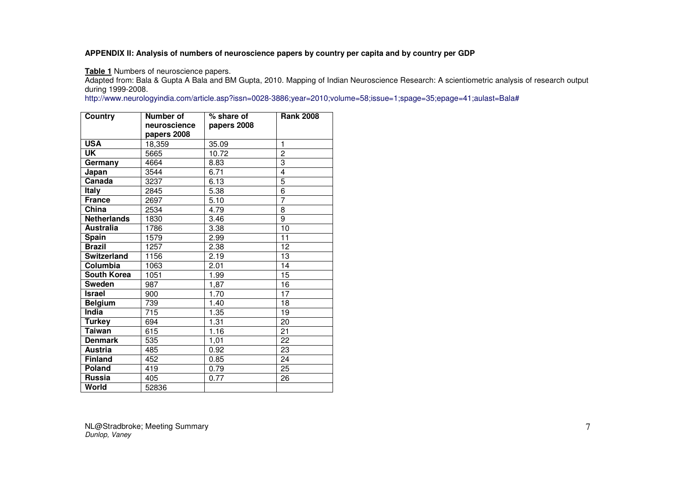# **APPENDIX II: Analysis of numbers of neuroscience papers by country per capita and by country per GDP**

**Table 1** Numbers of neuroscience papers.

 Adapted from: Bala & Gupta A Bala and BM Gupta, 2010. Mapping of Indian Neuroscience Research: A scientiometric analysis of research output during 1999-2008.

http://www.neurologyindia.com/article.asp?issn=0028-3886;year=2010;volume=58;issue=1;spage=35;epage=41;aulast=Bala#

| Country            | <b>Number of</b> | % share of  | <b>Rank 2008</b> |
|--------------------|------------------|-------------|------------------|
|                    | neuroscience     | papers 2008 |                  |
|                    | papers 2008      |             |                  |
| <b>USA</b>         | 18,359           | 35.09       | $\mathbf{1}$     |
| UK                 | 5665             | 10.72       | $\overline{c}$   |
| Germany            | 4664             | 8.83        | 3                |
| Japan              | 3544             | 6.71        | $\overline{4}$   |
| Canada             | 3237             | 6.13        | $\overline{5}$   |
| <b>Italy</b>       | 2845             | 5.38        | $\overline{6}$   |
| <b>France</b>      | 2697             | 5.10        | $\overline{7}$   |
| China              | 2534             | 4.79        | 8                |
| <b>Netherlands</b> | 1830             | 3.46        | $\overline{9}$   |
| <b>Australia</b>   | 1786             | 3.38        | 10               |
| <b>Spain</b>       | 1579             | 2.99        | $\overline{11}$  |
| <b>Brazil</b>      | 1257             | 2.38        | 12               |
| <b>Switzerland</b> | 1156             | 2.19        | 13               |
| Columbia           | 1063             | 2.01        | 14               |
| <b>South Korea</b> | 1051             | 1.99        | $\overline{15}$  |
| <b>Sweden</b>      | 987              | 1,87        | 16               |
| <b>Israel</b>      | 900              | 1.70        | 17               |
| <b>Belgium</b>     | 739              | 1.40        | 18               |
| India              | 715              | 1.35        | 19               |
| <b>Turkey</b>      | 694              | 1.31        | $\overline{20}$  |
| <b>Taiwan</b>      | 615              | 1.16        | $\overline{21}$  |
| <b>Denmark</b>     | 535              | 1,01        | 22               |
| <b>Austria</b>     | 485              | 0.92        | 23               |
| <b>Finland</b>     | 452              | 0.85        | 24               |
| <b>Poland</b>      | 419              | 0.79        | 25               |
| <b>Russia</b>      | 405              | 0.77        | 26               |
| World              | 52836            |             |                  |